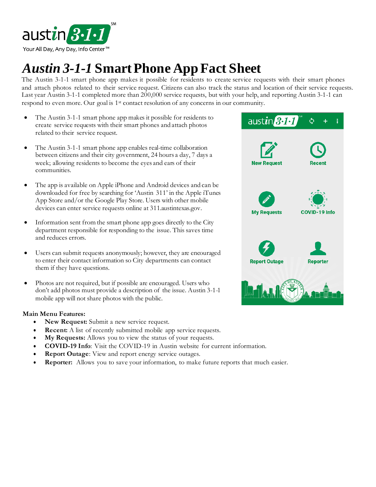

## *Austin 3-1-1* **SmartPhone App Fact Sheet**

The Austin 3-1-1 smart phone app makes it possible for residents to create service requests with their smart phones and attach photos related to their service request. Citizens can also track the status and location of their service requests. Last year Austin 3-1-1 completed more than 200,000 service requests, but with your help, and reporting Austin 3-1-1 can respond to even more. Our goal is 1st contact resolution of any concerns in our community.

- The Austin 3-1-1 smart phone app makes it possible for residents to create service requests with their smart phones and attach photos related to their service request.
- The Austin 3-1-1 smart phone app enables real-time collaboration between citizens and their city government, 24 hours a day, 7 days a week; allowing residents to become the eyes and ears of their communities.
- The app is available on Apple iPhone and Android devices and can be downloaded for free by searching for 'Austin 311' in the Apple iTunes App Store and/or the Google Play Store. Users with other mobile devices can enter service requests online at 311.austintexas.gov.
- Information sent from the smart phone app goes directly to the City department responsible for responding to the issue. This saves time and reduces errors.
- Users can submit requests anonymously; however, they are encouraged to enter their contact information so City departments can contact them if they have questions.
- Photos are not required, but if possible are encouraged. Users who don't add photos must provide a description of the issue. Austin 3-1-1 mobile app will not share photos with the public.

## **Main Menu Features:**

- **New Request:** Submit a new service request.
- **Recent:** A list of recently submitted mobile app service requests.
- **My Requests:** Allows you to view the status of your requests.
- **COVID-19 Info**: Visit the COVID-19 in Austin website for current information.
- **Report Outage:** View and report energy service outages.
- **Reporter:** Allows you to save your information, to make future reports that much easier.